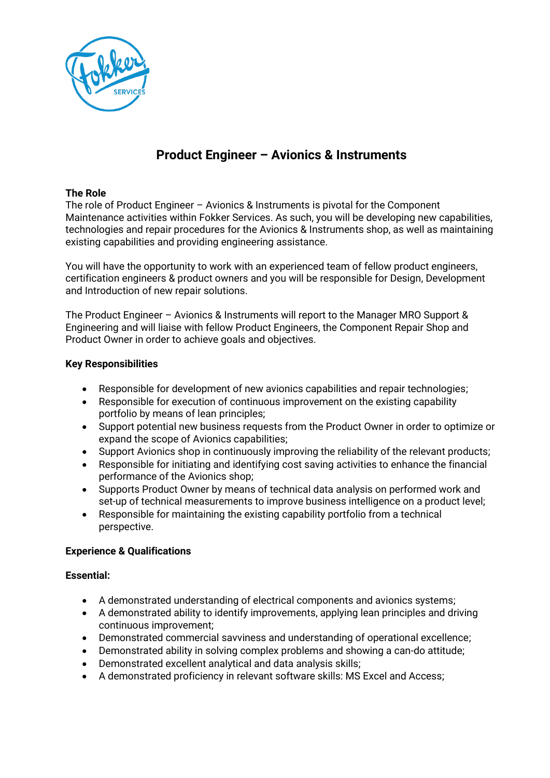

# **Product Engineer – Avionics & Instruments**

## **The Role**

The role of Product Engineer – Avionics & Instruments is pivotal for the Component Maintenance activities within Fokker Services. As such, you will be developing new capabilities, technologies and repair procedures for the Avionics & Instruments shop, as well as maintaining existing capabilities and providing engineering assistance.

You will have the opportunity to work with an experienced team of fellow product engineers, certification engineers & product owners and you will be responsible for Design, Development and Introduction of new repair solutions.

The Product Engineer – Avionics & Instruments will report to the Manager MRO Support & Engineering and will liaise with fellow Product Engineers, the Component Repair Shop and Product Owner in order to achieve goals and objectives.

## **Key Responsibilities**

- Responsible for development of new avionics capabilities and repair technologies;
- Responsible for execution of continuous improvement on the existing capability portfolio by means of lean principles;
- Support potential new business requests from the Product Owner in order to optimize or expand the scope of Avionics capabilities;
- Support Avionics shop in continuously improving the reliability of the relevant products;
- Responsible for initiating and identifying cost saving activities to enhance the financial performance of the Avionics shop;
- Supports Product Owner by means of technical data analysis on performed work and set-up of technical measurements to improve business intelligence on a product level;
- Responsible for maintaining the existing capability portfolio from a technical perspective.

## **Experience & Qualifications**

## **Essential:**

- A demonstrated understanding of electrical components and avionics systems;
- A demonstrated ability to identify improvements, applying lean principles and driving continuous improvement;
- Demonstrated commercial savviness and understanding of operational excellence;
- Demonstrated ability in solving complex problems and showing a can-do attitude;
- Demonstrated excellent analytical and data analysis skills;
- A demonstrated proficiency in relevant software skills: MS Excel and Access;